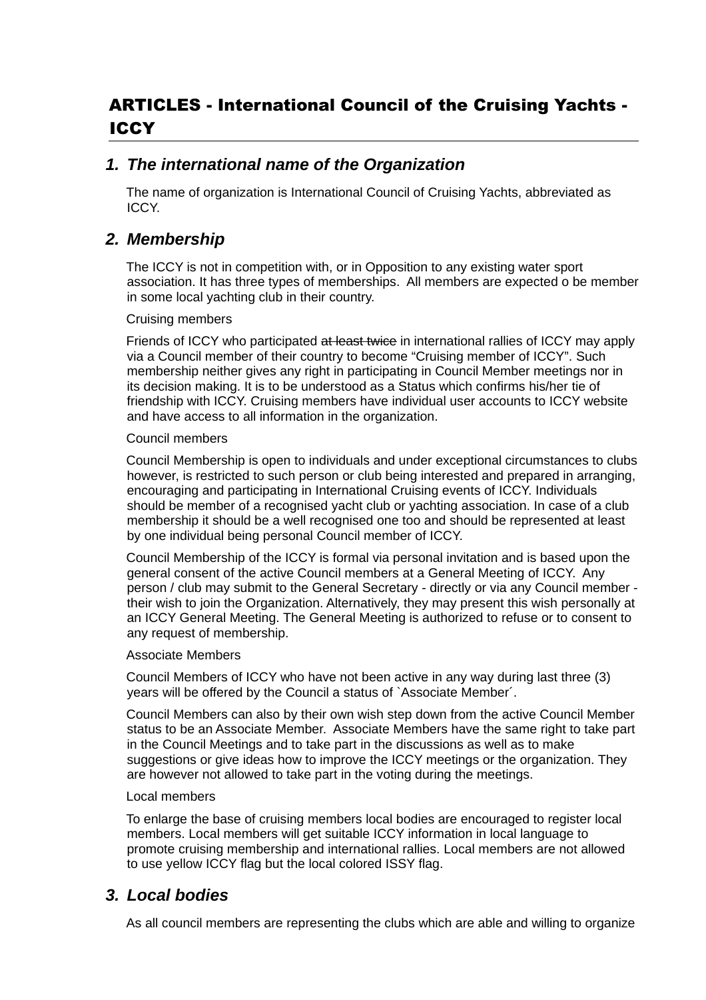# ARTICLES - International Council of the Cruising Yachts - ICCY

### *1. The international name of the Organization*

The name of organization is International Council of Cruising Yachts, abbreviated as ICCY.

### *2. Membership*

The ICCY is not in competition with, or in Opposition to any existing water sport association. It has three types of memberships. All members are expected o be member in some local yachting club in their country.

#### Cruising members

Friends of ICCY who participated at least twice in international rallies of ICCY may apply via a Council member of their country to become "Cruising member of ICCY". Such membership neither gives any right in participating in Council Member meetings nor in its decision making. It is to be understood as a Status which confirms his/her tie of friendship with ICCY. Cruising members have individual user accounts to ICCY website and have access to all information in the organization.

#### Council members

Council Membership is open to individuals and under exceptional circumstances to clubs however, is restricted to such person or club being interested and prepared in arranging, encouraging and participating in International Cruising events of ICCY. Individuals should be member of a recognised yacht club or yachting association. In case of a club membership it should be a well recognised one too and should be represented at least by one individual being personal Council member of ICCY.

Council Membership of the ICCY is formal via personal invitation and is based upon the general consent of the active Council members at a General Meeting of ICCY. Any person / club may submit to the General Secretary - directly or via any Council member their wish to join the Organization. Alternatively, they may present this wish personally at an ICCY General Meeting. The General Meeting is authorized to refuse or to consent to any request of membership.

#### Associate Members

Council Members of ICCY who have not been active in any way during last three (3) years will be offered by the Council a status of `Associate Member´.

Council Members can also by their own wish step down from the active Council Member status to be an Associate Member. Associate Members have the same right to take part in the Council Meetings and to take part in the discussions as well as to make suggestions or give ideas how to improve the ICCY meetings or the organization. They are however not allowed to take part in the voting during the meetings.

#### Local members

To enlarge the base of cruising members local bodies are encouraged to register local members. Local members will get suitable ICCY information in local language to promote cruising membership and international rallies. Local members are not allowed to use yellow ICCY flag but the local colored ISSY flag.

### *3. Local bodies*

As all council members are representing the clubs which are able and willing to organize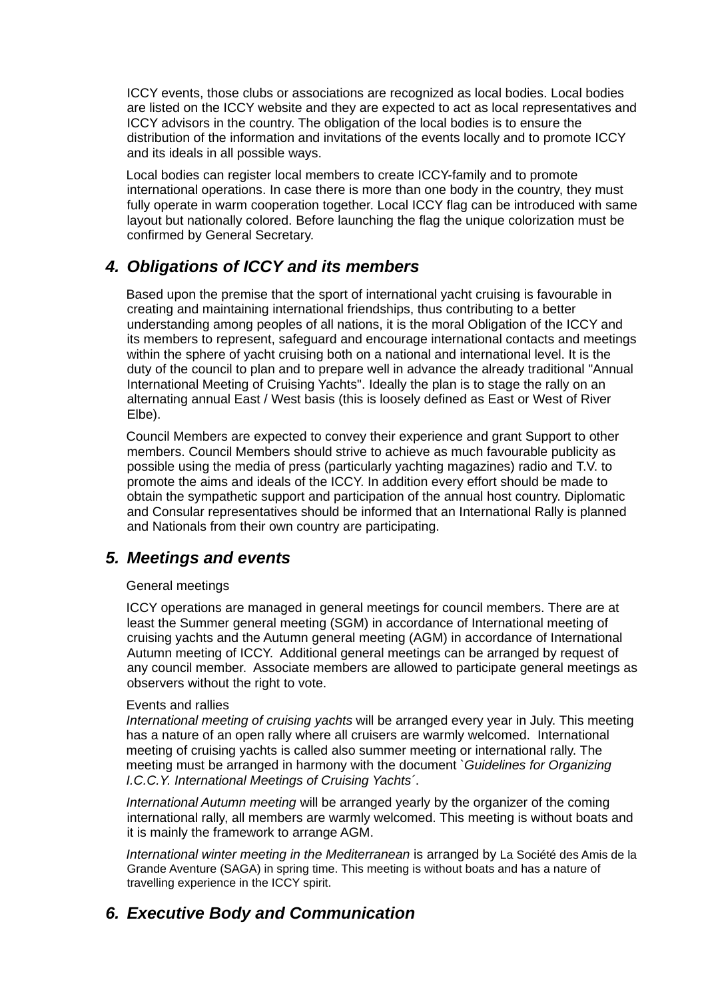ICCY events, those clubs or associations are recognized as local bodies. Local bodies are listed on the ICCY website and they are expected to act as local representatives and ICCY advisors in the country. The obligation of the local bodies is to ensure the distribution of the information and invitations of the events locally and to promote ICCY and its ideals in all possible ways.

Local bodies can register local members to create ICCY-family and to promote international operations. In case there is more than one body in the country, they must fully operate in warm cooperation together. Local ICCY flag can be introduced with same layout but nationally colored. Before launching the flag the unique colorization must be confirmed by General Secretary.

## *4. Obligations of ICCY and its members*

Based upon the premise that the sport of international yacht cruising is favourable in creating and maintaining international friendships, thus contributing to a better understanding among peoples of all nations, it is the moral Obligation of the ICCY and its members to represent, safeguard and encourage international contacts and meetings within the sphere of yacht cruising both on a national and international level. It is the duty of the council to plan and to prepare well in advance the already traditional "Annual International Meeting of Cruising Yachts". Ideally the plan is to stage the rally on an alternating annual East / West basis (this is loosely defined as East or West of River Elbe).

Council Members are expected to convey their experience and grant Support to other members. Council Members should strive to achieve as much favourable publicity as possible using the media of press (particularly yachting magazines) radio and T.V. to promote the aims and ideals of the ICCY. In addition every effort should be made to obtain the sympathetic support and participation of the annual host country. Diplomatic and Consular representatives should be informed that an International Rally is planned and Nationals from their own country are participating.

### *5. Meetings and events*

#### General meetings

ICCY operations are managed in general meetings for council members. There are at least the Summer general meeting (SGM) in accordance of International meeting of cruising yachts and the Autumn general meeting (AGM) in accordance of International Autumn meeting of ICCY. Additional general meetings can be arranged by request of any council member. Associate members are allowed to participate general meetings as observers without the right to vote.

#### Events and rallies

*International meeting of cruising yachts* will be arranged every year in July. This meeting has a nature of an open rally where all cruisers are warmly welcomed. International meeting of cruising yachts is called also summer meeting or international rally. The meeting must be arranged in harmony with the document *`Guidelines for Organizing I.C.C.Y. International Meetings of Cruising Yachts´*.

*International Autumn meeting* will be arranged yearly by the organizer of the coming international rally, all members are warmly welcomed. This meeting is without boats and it is mainly the framework to arrange AGM.

*International winter meeting in the Mediterranean* is arranged by La Société des Amis de la Grande Aventure (SAGA) in spring time. This meeting is without boats and has a nature of travelling experience in the ICCY spirit.

# *6. Executive Body and Communication*